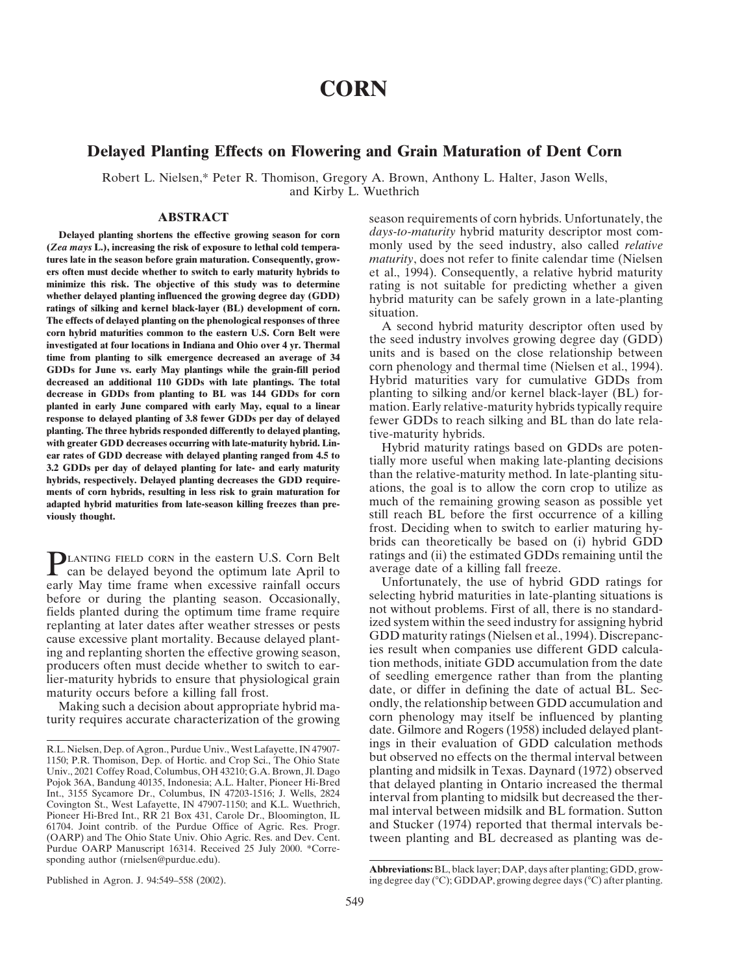# **CORN**

# **Delayed Planting Effects on Flowering and Grain Maturation of Dent Corn**

Robert L. Nielsen,\* Peter R. Thomison, Gregory A. Brown, Anthony L. Halter, Jason Wells, and Kirby L. Wuethrich

**(***Zea mays* **L.), increasing the risk of exposure to lethal cold tempera-** monly used by the seed industry, also called *relative* **tures late in the season before grain maturation. Consequently, grow-** *maturity*, does not refer to finite calendar time (Nielsen **ers often must decide whether to switch to early maturity hybrids to** et al., 1994). Consequently, a relative hybrid maturity minimize this risk. The objective of this study was to determine rating is not suitable for pre minimize this risk. The objective of this study was to determine rating is not suitable for predicting whether a given<br>whether delayed planting influenced the growing degree day (GDD) bybrid maturity can be safely grown in whether delayed planting influenced the growing degree day (GDD) hybrid maturity can be safely grown in a late-planting ratings of silking and kernel black-layer (BL) development of corn.<br>The effects of delayed planting on The effects of delayed planting on the phenological responses of three<br>
corn hybrid maturity descriptor often used by<br>
investigated at four locations in Indiana and Ohio over 4 yr. Thermal<br>
time from planting to silk emerg **GDDs for June vs. early May plantings while the grain-fill period** corn phenology and thermal time (Nielsen et al., 1994). **decreased an additional 110 GDDs with late plantings. The total** Hybrid maturities vary for cumulative GDDs from **decrease in GDDs from planting to BL was 144 GDDs for corn** planting to silking and/or kernel black-layer (BL) for**planted in early June compared with early May, equal to a linear** mation. Early relative-maturity hybrids typically require response to delayed planting of 3.8 fewer GDDs per day of delayed fewer GDDs to reach silking and **response to delayed planting of 3.8 fewer GDDs per day of delayed** fewer GDDs to reach silking and BL than do late rela-<br>**planting.** The three hybrids responded differently to delayed planting, the ematurity hybrids planting. The three hybrids responded differently to delayed planting,<br>
with greater GDD decreases occurring with late-maturity hybrid. Lin-<br>
ear rates of GDD decrease with delayed planting ranged from 4.5 to<br>
3.2 GDDs per **ments of corn hybrids, resulting in less risk to grain maturation for** ations, the goal is to allow the corn crop to utilize as much of the remaining growing season as possible yet adapted hybrid maturities from late-season killing freezes than pre-<br>
much of the remaining growing season as possible yet **viously thought.** still reach BL before the first occurrence of a killing

**PLANTING FIELD CORN in the eastern U.S. Corn Belt** ratings and (ii) the estimated GDDs remaining until the can be delayed beyond the optimum late April to average date of a killing fall freeze.<br>
early May time frame when before or during the planting season. Occasionally, selecting hybrid maturities in late-planting situations is before or during the planting season. Occasionally, fields planted during the optimum time frame require not without problems. First of all, there is no standardreplanting at later dates after weather stresses or pests ized system within the seed industry for assigning hybrid cause excessive plant mortality Because delayed plant. GDD maturity ratings (Nielsen et al., 1994). Discre cause excessive plant mortality. Because delayed plant-<br>ing and replanting shorten the effective growing season, ies result when companies use different GDD calculaproducers often must decide whether to switch to ear-<br>tion methods, initiate GDD accumulation from the date of seedling emergence rather than from the planting lier-maturity hybrids to ensure that physiological grain maturity occurs before a killing fall frost. date, or differ in defining the date of actual BL. Sec-

**ABSTRACT** season requirements of corn hybrids. Unfortunately, the **Delayed planting shortens the effective growing season for corn** *days-to-maturity* hybrid maturity descriptor most com-

frost. Deciding when to switch to earlier maturing hybrids can theoretically be based on (i) hybrid GDD

Making such a decision about appropriate hybrid ma-<br>
rity requires accurate characterization of the growing corn phenology may itself be influenced by planting turity requires accurate characterization of the growing corn phenology may itself be influenced by planting<br>date. Gilmore and Rogers (1958) included delayed plant-R.L. Nielsen, Dep. of Agron., Purdue Univ., West Lafayette, IN 47907- ings in their evaluation of GDD calculation methods

<sup>1150;</sup> P.R. Thomison, Dep. of Hortic. and Crop Sci., The Ohio State but observed no effects on the thermal interval between Univ., 2021 Coffey Road, Columbus, OH 43210; G.A. Brown, Jl. Dago planting and midsilk in Texas. Daynard (1972) observed Pojok 36A, Bandung 40135, Indonesia; A.L. Halter, Pioneer Hi-Bred<br>Int., 3155 Sycamore Dr., Columbus, IN 47203-1516; J. Wells, 2824<br>Covington St., West Lafayette, IN 47907-1150; and K.L. Wuethrich,<br>Pioneer Hi-Bred Int., RR 61704. Joint contrib. of the Purdue Office of Agric. Res. Progr. and Stucker (1974) reported that thermal intervals be- (OARP) and The Ohio State Univ. Ohio Agric. Res. and Dev. Cent. tween planting and BL decreased as planting was de- Purdue OARP Manuscript 16314. Received 25 July 2000. \*Corresponding author (rnielsen@purdue.edu).

**Abbreviations:** BL, black layer; DAP, days after planting; GDD, grow-Published in Agron. J. 94:549–558 (2002). ing degree day (°C); GDDAP, growing degree days (°C) after planting.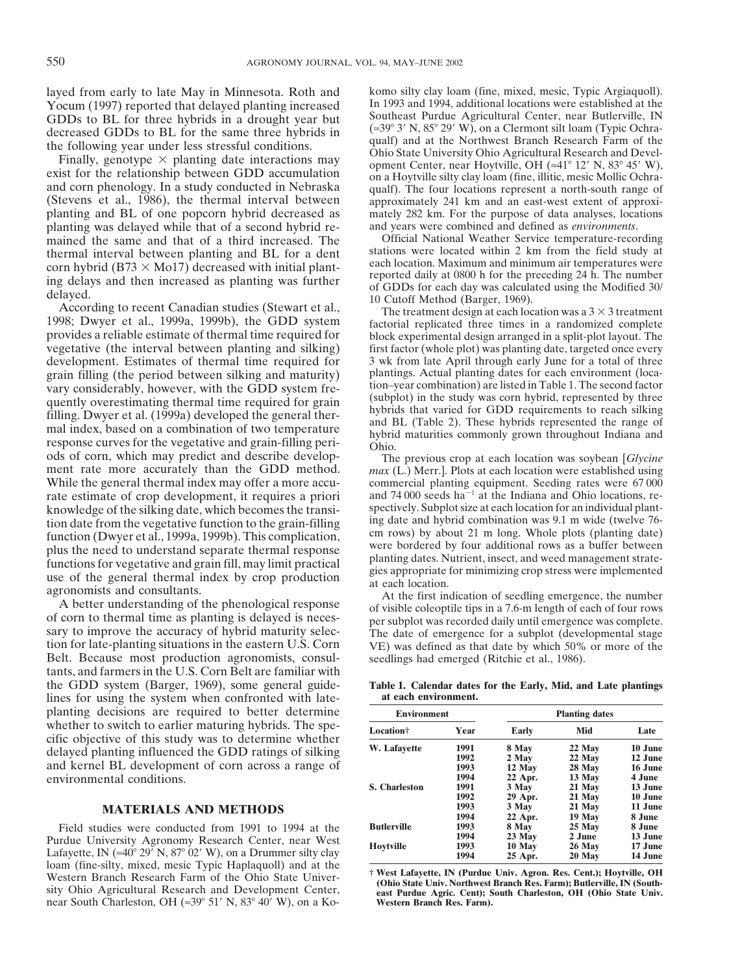Yocum (1997) reported that delayed planting increased In 1993 and 1994, additional locations were established at the<br>GDDs to BL for three hybrids in a drought year but Southeast Purdue Agricultural Center, near Butlerville GDDs to BL for three hybrids in a drought year but Southeast Purdue Agricultural Center, near Butlerville, IN<br>decreased GDDs to BL for the same three hybrids in  $(\approx 39^\circ \text{ 3' N}, 85^\circ \text{ 29' W})$ , on a Clermont silt loam (Ty

and corn phenology. In a study conducted in Nebraska qualf). The four locations represent a north-south range of (Stevens et al., 1986), the thermal interval between approximately 241 km and an east-west extent of approxiplanting and BL of one popcorn hybrid decreased as mately 282 km. For the purpose of data analyses, locations planting was delayed while that of a second hybrid re- and years were combined and defined as *environments*. mained the same and that of a third increased. The Official National Weather Service temperature-recording thermal interval between planting and BL for a dent stations were located within 2 km from the field study at

According to recent Canadian studies (Stewart et al.,<br>
The treatment design at each location was a  $3 \times 3$  treatment<br>
1998; Dwyer et al., 1999a, 1999b), the GDD system<br>
provides a reliable estimate of thermal time require vegetative (the interval between planting and silking) first factor (whole plot) was planting date, targeted once every development. Estimates of thermal time required for 3 wk from late April through early June for a total of three<br>
grain filling (the period between silking and maturity) plantings. Actual planting dates for each environmen grain filling (the period between silking and maturity) plantings. Actual planting dates for each environment (loca-<br>vary considerably however, with the GDD system fre-<br>tion-year combination) are listed in Table 1. The sec vary considerably, however, with the GDD system fre-<br>quently overestimating thermal time required for grain<br>filling. Dwyer et al. (1999a) developed the general ther-<br>mal index, based on a combination of two temperature<br>res response curves for the vegetative and grain-hilling peri-<br>ods of corn, which may predict and describe develop-<br>ment rate more accurately than the GDD method. max (L.) Merr.]. Plots at each location were established using While the general thermal index may offer a more accu-<br>commercial planting equipment. Seeding rates were 67 000 rate estimate of crop development, it requires a priori and 74 000 seeds  $ha^{-1}$  at the Indiana and Ohio locations, reknowledge of the silking date, which becomes the transi-<br>tion date from the vegetative function to the grain-filling ing date and hybrid combination was 9.1 m wide (twelve 76tion date from the vegetative function to the grain-filling<br>function, function (Dwyer et al., 1999a, 1999b). This complication,<br>plus the need to understand separate thermal response<br>functions for vegetative and grain fill,

sary to improve the accuracy of hybrid maturity selection for late of emergence for a subplot (developmental stage tion for late-planting situations in the eastern U.S. Corn VE) was defined as that date by which 50% or mor Belt. Because most production agronomists, consul-<br>seedlings had emerged (Ritchie et al., 1986). tants, and farmers in the U.S. Corn Belt are familiar with the GDD system (Barger, 1969), some general guide- **Table 1. Calendar dates for the Early, Mid, and Late plantings** lines for using the system when confronted with late-<br>at each environment. planting decisions are required to better determine environmental conditions.

## **MATERIALS AND METHODS**

Field studies were conducted from 1991 to 1994 at the Purdue University Agronomy Research Center, near West<br>Lafayette, IN  $(\approx 40^{\circ} 29' N, 87^{\circ} 02' W)$ , on a Drummer silty clay loam (fine-silty, mixed, mesic Typic Haplaquoll) and at the Western Branch Research Farm of the Ohio State Univer-<br>West Lafayette, IN (Purdue Univ. Agron. Res. Cent.); Hoytville, OH<br>(Ohio State Univer- The Ohio State Univer- The Ohio State Univer- The Ohio State Univer- The State S (Ohio State Univ. Northwest Branch Res. Farm); Butlerville, IN (South-<br>near South Charleston, OH ( $\approx 39^{\circ}$  51' N. 83° 40' W), on a Ko-<br>**Western Branch Res. Farm).** near South Charleston, OH ( $\approx 39^{\circ}$  51' N, 83° 40' W), on a Ko-

layed from early to late May in Minnesota. Roth and komo silty clay loam (fine, mixed, mesic, Typic Argiaquoll).<br>
Yocum (1997) reported that delayed planting increased In 1993 and 1994, additional locations were establishe decreased GDDs to BL for the same three hybrids in  $(*39^{\circ}3' N, 85^{\circ}29' W)$ , on a Clermont silt loam (Typic Ochra-<br>the following year under less stressful conditions.<br>Finally, genotype  $\times$  planting date interactions may

thermal interval between planting and BL for a dent<br>corn hybrid (B73 × Mo17) decreased with initial plant-<br>ing delays and then increased as planting was further<br>delays of GDDs for each day was calculated using the Modifie

| planting decisions are required to better determine                                     | <b>Environment</b>    |      | <b>Planting dates</b> |        |         |
|-----------------------------------------------------------------------------------------|-----------------------|------|-----------------------|--------|---------|
| whether to switch to earlier maturing hybrids. The spe-                                 | Location <sup>†</sup> | Year | <b>Early</b>          | Mid    | Late    |
| cific objective of this study was to determine whether                                  | W. Lafayette          | 1991 | 8 May                 | 22 May | 10 June |
| delayed planting influenced the GDD ratings of silking                                  |                       | 1992 | 2 May                 | 22 May | 12 June |
| and kernel BL development of corn across a range of                                     |                       | 1993 | 12 May                | 28 May | 16 June |
| environmental conditions.                                                               |                       | 1994 | 22 Apr.               | 13 May | 4 June  |
|                                                                                         | <b>S. Charleston</b>  | 1991 | 3 May                 | 21 May | 13 June |
|                                                                                         |                       | 1992 | 29 Apr.               | 21 May | 10 June |
| <b>MATERIALS AND METHODS</b>                                                            |                       | 1993 | 3 May                 | 21 May | 11 June |
|                                                                                         |                       | 1994 | 22 Apr.               | 19 May | 8 June  |
| Field studies were conducted from 1991 to 1994 at the                                   | <b>Butlerville</b>    | 1993 | 8 May                 | 25 May | 8 June  |
| Purdue University Agronomy Research Center, near West                                   |                       | 1994 | 23 May                | 2 June | 13 June |
|                                                                                         | Hovtville             | 1993 | 10 May                | 26 May | 17 June |
| Lafayette, IN $(\approx 40^{\circ} 29'$ N, $87^{\circ} 02'$ W), on a Drummer silty clay |                       | 1994 | 25 Apr.               | 20 May | 14 June |
|                                                                                         |                       |      |                       |        |         |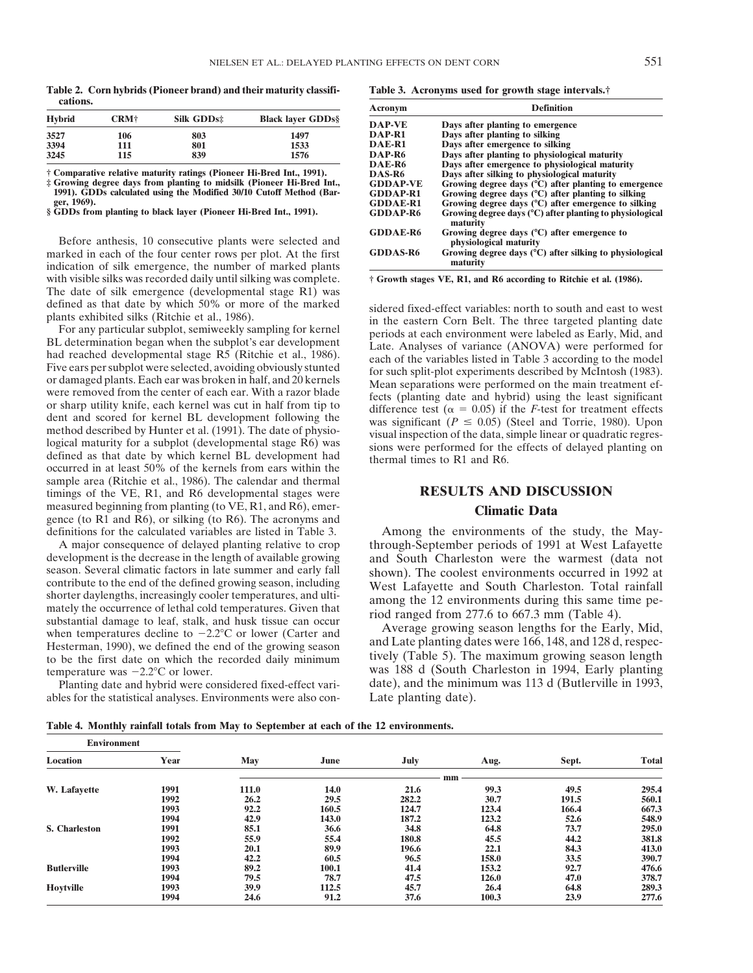**Table 2. Corn hybrids (Pioneer brand) and their maturity classifi- Table 3. Acronyms used for growth stage intervals.† cations. Cations. CONSERVING DEFINITION CONSERVANCE DEFINITION DEfinition** 

|               |      |            |                              |                    | <i>L</i> viiiiuvii                            |
|---------------|------|------------|------------------------------|--------------------|-----------------------------------------------|
| <b>Hybrid</b> | CRM† | Silk GDDs: | <b>Black laver GDDs&amp;</b> | DAP-VE             | Days after planting to emergence              |
| 3527          | 106  | 803        | 1497                         | DAP-R1             | Days after planting to silking                |
| 3394          |      | 801        | 1533                         | DAE-R1             | Days after emergence to silking               |
| 3245          | 115  | 839        | 1576                         | DAP-R <sub>6</sub> | Days after planting to physiological maturity |
|               |      |            |                              | <b>DAEDE</b>       | Dave after emergence to physiological matur   |

† Comparative relative maturity ratings (Pioneer Hi-Bred Int., 1991).<br>‡ Growing degree days from planting to midsilk (Pioneer Hi-Bred Int., 1991).<br>EDDs calculated using the Modified 30/10 Cutoff Method (Bar-<br>ger, 1969).<br>§

Before anthesis, 10 consecutive plants were selected and marked in each of the four center rows per plot. At the first indication of silk emergence, the number of marked plants with visible silks was recorded daily until silking was complete.  $\dagger$  Growth stages VE, R1, and R6 according to Ritchie et al. (1986). The date of silk emergence (developmental stage R1) was

or sharp utility knife, each kernel was cut in half from tip to<br>difference test ( $\alpha = 0.05$ ) if the *F*-test for treatment effects<br>dent and scored for kernel BL development following the<br>method described by Hunter et al. occurred in at least 50% of the kernels from ears within the sample area (Ritchie et al., 1986). The calendar and thermal timings of the VE, R1, and R6 developmental stages were **RESULTS AND DISCUSSION** measured beginning from planting (to VE, R1, and R6), emer-<br>gence (to R1 and R6), or silking (to R6). The acronyms and<br>**Climatic Data** definitions for the calculated variables are listed in Table 3. Among the environments of the study, the May-

development is the decrease in the length of available growing and South Charleston were the warmest (data not season. Several climatic factors in late summer and early fall shown) The coolest environments occurred in 1992 season. Several climatic factors in late summer and early fall<br>contribute to the end of the defined growing season, including<br>shorter daylengths, increasingly cooler temperatures, and ulti-<br>mately the occurrence of lethal when temperatures decline to  $-2.2$ °C or lower (Carter and Average growing season lengths for the Early, Mid, Hesterman, 1990), we defined the end of the growing season and Late planting dates were 166, 148, and 128 d, re to be the first date on which the recorded daily minimum tively (Table 5). The maximum growing season length

Planting date and hybrid were considered fixed-effect variables for the statistical analyses. Environments were also con- Late planting date).

| Acronym         | <b>Definition</b>                                                              |
|-----------------|--------------------------------------------------------------------------------|
| <b>DAP-VE</b>   | Days after planting to emergence                                               |
| DAP-R1          | Days after planting to silking                                                 |
| DAE-R1          | Days after emergence to silking                                                |
| DAP-R6          | Days after planting to physiological maturity                                  |
| DAE-R6          | Days after emergence to physiological maturity                                 |
| DAS-R6          | Days after silking to physiological maturity                                   |
| <b>GDDAP-VE</b> | Growing degree days (°C) after planting to emergence                           |
| GDDAP-R1        | Growing degree days $(C)$ after planting to silking                            |
| <b>GDDAE-R1</b> | Growing degree days (°C) after emergence to silking                            |
| GDDAP-R6        | Growing degree days $(^{\circ}C)$ after planting to physiological<br>maturity  |
| <b>GDDAE-R6</b> | Growing degree days $(^{\circ}C)$ after emergence to<br>physiological maturity |
| <b>GDDAS-R6</b> | Growing degree days (°C) after silking to physiological<br>maturity            |

defined as that date by which 50% or more of the marked<br>
plants exhibited silks (Ritchie et al., 1986).<br>
For any particular subplot, semiweekly sampling for kernel<br>
BL determination began when the usubplot's ear developme

A major consequence of delayed planting relative to crop through-September periods of 1991 at West Lafayette

temperature was  $-2.2^{\circ}$ C or lower.<br>
Planting date and hybrid were considered fixed-effect variations, and the minimum was 113 d (Butlerville in 1993,

**Table 4. Monthly rainfall totals from May to September at each of the 12 environments.**

| <b>Environment</b>   |      |       |       |       |       |       |              |
|----------------------|------|-------|-------|-------|-------|-------|--------------|
| Location             | Year | May   | June  | July  | Aug.  | Sept. | <b>Total</b> |
|                      |      |       |       |       | mm    |       |              |
| W. Lafayette         | 1991 | 111.0 | 14.0  | 21.6  | 99.3  | 49.5  | 295.4        |
|                      | 1992 | 26.2  | 29.5  | 282.2 | 30.7  | 191.5 | 560.1        |
|                      | 1993 | 92.2  | 160.5 | 124.7 | 123.4 | 166.4 | 667.3        |
|                      | 1994 | 42.9  | 143.0 | 187.2 | 123.2 | 52.6  | 548.9        |
| <b>S.</b> Charleston | 1991 | 85.1  | 36.6  | 34.8  | 64.8  | 73.7  | 295.0        |
|                      | 1992 | 55.9  | 55.4  | 180.8 | 45.5  | 44.2  | 381.8        |
|                      | 1993 | 20.1  | 89.9  | 196.6 | 22.1  | 84.3  | 413.0        |
|                      | 1994 | 42.2  | 60.5  | 96.5  | 158.0 | 33.5  | 390.7        |
| <b>Butlerville</b>   | 1993 | 89.2  | 100.1 | 41.4  | 153.2 | 92.7  | 476.6        |
|                      | 1994 | 79.5  | 78.7  | 47.5  | 126.0 | 47.0  | 378.7        |
| Hoytville            | 1993 | 39.9  | 112.5 | 45.7  | 26.4  | 64.8  | 289.3        |
|                      | 1994 | 24.6  | 91.2  | 37.6  | 100.3 | 23.9  | 277.6        |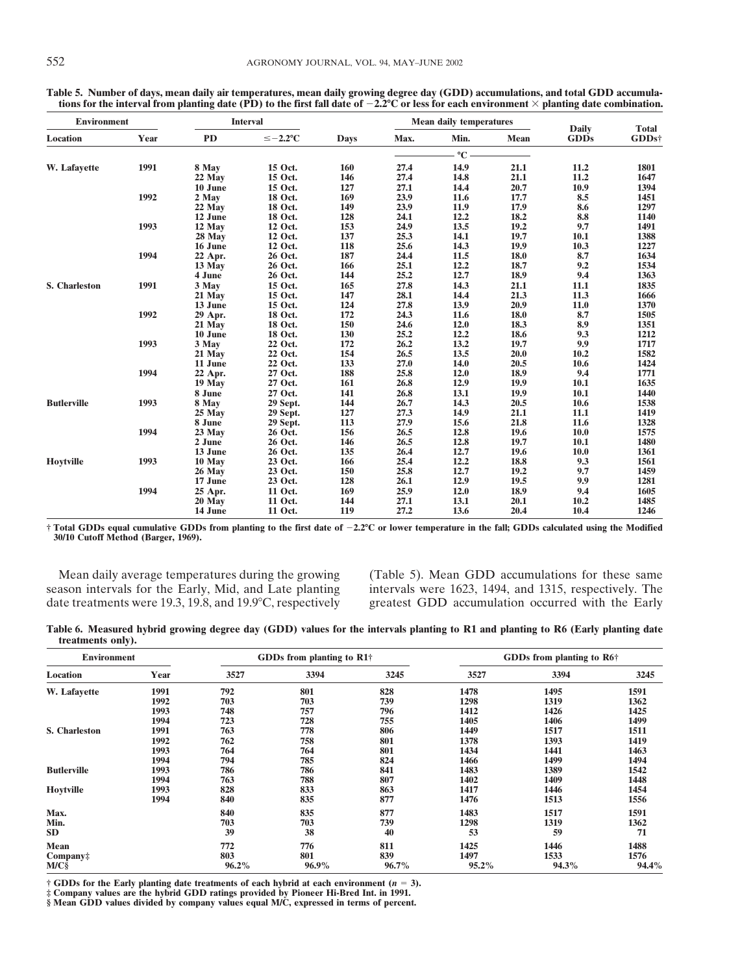| <b>Environment</b> |      | <b>Interval</b> |                |             |      | <b>Mean daily temperatures</b> |      |                             | <b>Total</b> |
|--------------------|------|-----------------|----------------|-------------|------|--------------------------------|------|-----------------------------|--------------|
| Location           | Year | <b>PD</b>       | $\leq -2.2$ °C | <b>Days</b> | Max. | Min.                           | Mean | <b>Daily</b><br><b>GDDs</b> | GDDs†        |
|                    |      |                 |                |             |      | $\rm ^{\circ}C$ .              |      |                             |              |
| W. Lafayette       | 1991 | 8 May           | 15 Oct.        | 160         | 27.4 | 14.9                           | 21.1 | 11.2                        | 1801         |
|                    |      | 22 May          | 15 Oct.        | 146         | 27.4 | 14.8                           | 21.1 | 11.2                        | 1647         |
|                    |      | 10 June         | 15 Oct.        | 127         | 27.1 | 14.4                           | 20.7 | 10.9                        | 1394         |
|                    | 1992 | 2 May           | 18 Oct.        | 169         | 23.9 | 11.6                           | 17.7 | 8.5                         | 1451         |
|                    |      | 22 May          | 18 Oct.        | 149         | 23.9 | 11.9                           | 17.9 | 8.6                         | 1297         |
|                    |      | 12 June         | 18 Oct.        | 128         | 24.1 | 12.2                           | 18.2 | 8.8                         | 1140         |
|                    | 1993 | 12 May          | 12 Oct.        | 153         | 24.9 | 13.5                           | 19.2 | 9.7                         | 1491         |
|                    |      | 28 May          | 12 Oct.        | 137         | 25.3 | 14.1                           | 19.7 | 10.1                        | 1388         |
|                    |      | 16 June         | 12 Oct.        | 118         | 25.6 | 14.3                           | 19.9 | 10.3                        | 1227         |
|                    | 1994 | 22 Apr.         | 26 Oct.        | 187         | 24.4 | 11.5                           | 18.0 | 8.7                         | 1634         |
|                    |      | 13 May          | 26 Oct.        | 166         | 25.1 | 12.2                           | 18.7 | 9.2                         | 1534         |
|                    |      | 4 June          | 26 Oct.        | 144         | 25.2 | 12.7                           | 18.9 | 9.4                         | 1363         |
| S. Charleston      | 1991 | 3 May           | 15 Oct.        | 165         | 27.8 | 14.3                           | 21.1 | 11.1                        | 1835         |
|                    |      | 21 May          | 15 Oct.        | 147         | 28.1 | 14.4                           | 21.3 | 11.3                        | 1666         |
|                    |      | 13 June         | 15 Oct.        | 124         | 27.8 | 13.9                           | 20.9 | 11.0                        | 1370         |
|                    | 1992 | 29 Apr.         | 18 Oct.        | 172         | 24.3 | 11.6                           | 18.0 | 8.7                         | 1505         |
|                    |      | 21 May          | 18 Oct.        | 150         | 24.6 | 12.0                           | 18.3 | 8.9                         | 1351         |
|                    |      | 10 June         | 18 Oct.        | 130         | 25.2 | 12.2                           | 18.6 | 9.3                         | 1212         |
|                    | 1993 | 3 May           | 22 Oct.        | 172         | 26.2 | 13.2                           | 19.7 | 9.9                         | 1717         |
|                    |      | 21 May          | 22 Oct.        | 154         | 26.5 | 13.5                           | 20.0 | 10.2                        | 1582         |
|                    |      | 11 June         | 22 Oct.        | 133         | 27.0 | 14.0                           | 20.5 | 10.6                        | 1424         |
|                    | 1994 | 22 Apr.         | 27 Oct.        | 188         | 25.8 | 12.0                           | 18.9 | 9.4                         | 1771         |
|                    |      | 19 May          | 27 Oct.        | 161         | 26.8 | 12.9                           | 19.9 | 10.1                        | 1635         |
|                    |      | 8 June          | 27 Oct.        | 141         | 26.8 | 13.1                           | 19.9 | 10.1                        | 1440         |
| <b>Butlerville</b> | 1993 | 8 May           | 29 Sept.       | 144         | 26.7 | 14.3                           | 20.5 | 10.6                        | 1538         |
|                    |      | 25 May          | 29 Sept.       | 127         | 27.3 | 14.9                           | 21.1 | 11.1                        | 1419         |
|                    |      | 8 June          | 29 Sept.       | 113         | 27.9 | 15.6                           | 21.8 | 11.6                        | 1328         |
|                    | 1994 | 23 May          | 26 Oct.        | 156         | 26.5 | 12.8                           | 19.6 | 10.0                        | 1575         |
|                    |      | 2 June          | 26 Oct.        | 146         | 26.5 | 12.8                           | 19.7 | 10.1                        | 1480         |
|                    |      | 13 June         | 26 Oct.        | 135         | 26.4 | 12.7                           | 19.6 | <b>10.0</b>                 | 1361         |
| <b>Hoytville</b>   | 1993 | 10 May          | 23 Oct.        | 166         | 25.4 | 12.2                           | 18.8 | 9.3                         | 1561         |
|                    |      | 26 May          | 23 Oct.        | 150         | 25.8 | 12.7                           | 19.2 | 9.7                         | 1459         |
|                    |      | 17 June         | 23 Oct.        | 128         | 26.1 | 12.9                           | 19.5 | 9.9                         | 1281         |
|                    | 1994 | 25 Apr.         | 11 Oct.        | 169         | 25.9 | 12.0                           | 18.9 | 9.4                         | 1605         |
|                    |      | 20 May          | 11 Oct.        | 144         | 27.1 | 13.1                           | 20.1 | 10.2                        | 1485         |
|                    |      | 14 June         | 11 Oct.        | 119         | 27.2 | 13.6                           | 20.4 | 10.4                        | 1246         |

**Table 5. Number of days, mean daily air temperatures, mean daily growing degree day (GDD) accumulations, and total GDD accumula**tions for the interval from planting date (PD) to the first fall date of  $-2.2$ °C or less for each environment  $\times$  planting date combination.

**† Total GDDs equal cumulative GDDs from planting to the first date of** \$**2.2**!**C or lower temperature in the fall; GDDs calculated using the Modified 30/10 Cutoff Method (Barger, 1969).**

date treatments were 19.3, 19.8, and 19.9°C, respectively greatest GDD accumulation occurred with the Early

Mean daily average temperatures during the growing (Table 5). Mean GDD accumulations for these same<br>season intervals for the Early, Mid, and Late planting intervals were 1623, 1494, and 1315, respectively. The intervals were 1623, 1494, and 1315, respectively. The

**Table 6. Measured hybrid growing degree day (GDD) values for the intervals planting to R1 and planting to R6 (Early planting date treatments only).**

| <b>Environment</b>   |      |       | <b>GDDs</b> from planting to R1 <sup>†</sup> |       |       | <b>GDDs</b> from planting to R6 <sup>†</sup> |       |  |
|----------------------|------|-------|----------------------------------------------|-------|-------|----------------------------------------------|-------|--|
| Location             | Year | 3527  | 3394                                         | 3245  | 3527  | 3394                                         | 3245  |  |
| W. Lafayette         | 1991 | 792   | 801                                          | 828   | 1478  | 1495                                         | 1591  |  |
|                      | 1992 | 703   | 703                                          | 739   | 1298  | 1319                                         | 1362  |  |
|                      | 1993 | 748   | 757                                          | 796   | 1412  | 1426                                         | 1425  |  |
|                      | 1994 | 723   | 728                                          | 755   | 1405  | 1406                                         | 1499  |  |
| <b>S. Charleston</b> | 1991 | 763   | 778                                          | 806   | 1449  | 1517                                         | 1511  |  |
|                      | 1992 | 762   | 758                                          | 801   | 1378  | 1393                                         | 1419  |  |
|                      | 1993 | 764   | 764                                          | 801   | 1434  | 1441                                         | 1463  |  |
|                      | 1994 | 794   | 785                                          | 824   | 1466  | 1499                                         | 1494  |  |
| <b>Butlerville</b>   | 1993 | 786   | 786                                          | 841   | 1483  | 1389                                         | 1542  |  |
|                      | 1994 | 763   | 788                                          | 807   | 1402  | 1409                                         | 1448  |  |
| <b>Hoytville</b>     | 1993 | 828   | 833                                          | 863   | 1417  | 1446                                         | 1454  |  |
|                      | 1994 | 840   | 835                                          | 877   | 1476  | 1513                                         | 1556  |  |
| Max.                 |      | 840   | 835                                          | 877   | 1483  | 1517                                         | 1591  |  |
| Min.                 |      | 703   | 703                                          | 739   | 1298  | 1319                                         | 1362  |  |
| SD                   |      | 39    | 38                                           | 40    | 53    | 59                                           | 71    |  |
| <b>Mean</b>          |      | 772   | 776                                          | 811   | 1425  | 1446                                         | 1488  |  |
| Company:             |      | 803   | 801                                          | 839   | 1497  | 1533                                         | 1576  |  |
| $M/C\$               |      | 96.2% | $96.9\%$                                     | 96.7% | 95.2% | 94.3%                                        | 94.4% |  |

† **GDDs for the Early planting date treatments of each hybrid at each environment (***n* **= 3).<br>‡ Company values are the hybrid GDD ratings provided by Pioneer Hi-Bred Int. in 1991.** 

**§ Mean GDD values divided by company values equal M/C, expressed in terms of percent.**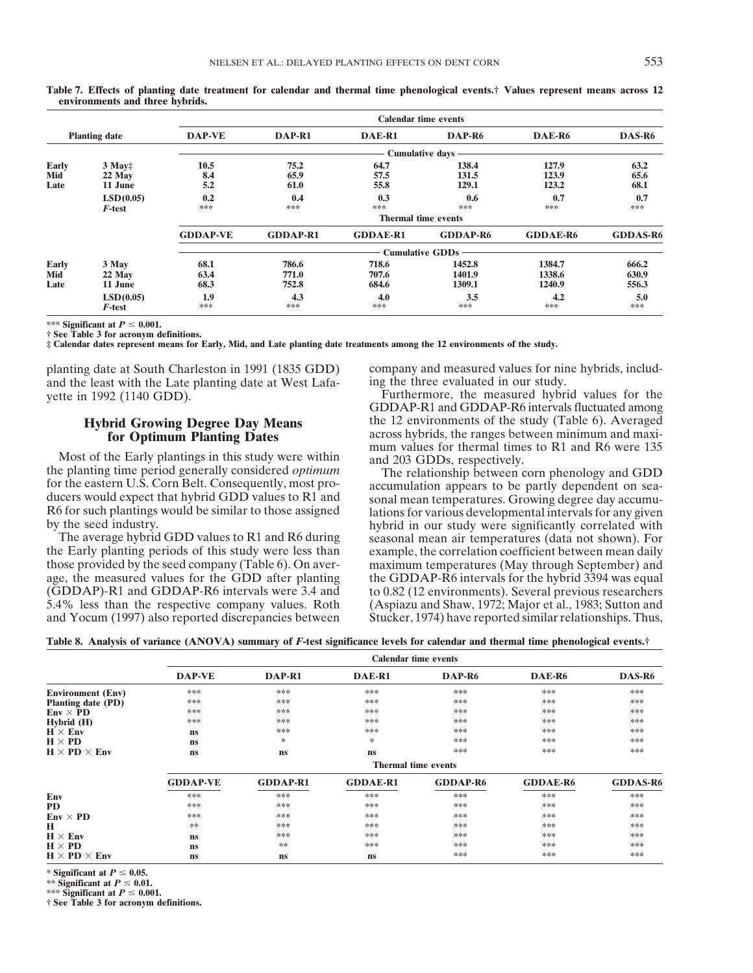|                      |                               | <b>Calendar time events</b> |                         |                         |                                          |                            |                         |
|----------------------|-------------------------------|-----------------------------|-------------------------|-------------------------|------------------------------------------|----------------------------|-------------------------|
| <b>Planting date</b> |                               | DAP-VE                      | DAP-R1                  | DAE-R1                  | DAP-R <sub>6</sub>                       | DAE-R6                     | DAS-R6                  |
|                      |                               |                             |                         |                         | <b>Cumulative days</b>                   |                            |                         |
| Early<br>Mid<br>Late | $3$ May:<br>22 May<br>11 June | 10.5<br>8.4<br>5.2          | 75.2<br>65.9<br>61.0    | 64.7<br>57.5<br>55.8    | 138.4<br>131.5<br>129.1                  | 127.9<br>123.9<br>123.2    | 63.2<br>65.6<br>68.1    |
|                      | LSD(0.05)<br>F-test           | 0.2<br>***                  | 0.4<br>***              | 0.3<br>***              | 0.6<br>***<br><b>Thermal time events</b> | 0.7<br>***                 | 0.7<br>***              |
|                      |                               | <b>GDDAP-VE</b>             | <b>GDDAP-R1</b>         | <b>GDDAE-R1</b>         | <b>GDDAP-R6</b>                          | <b>GDDAE-R6</b>            | <b>GDDAS-R6</b>         |
|                      |                               |                             |                         |                         | <b>Cumulative GDDs</b>                   |                            |                         |
| Early<br>Mid<br>Late | 3 May<br>22 May<br>11 June    | 68.1<br>63.4<br>68.3        | 786.6<br>771.0<br>752.8 | 718.6<br>707.6<br>684.6 | 1452.8<br>1401.9<br>1309.1               | 1384.7<br>1338.6<br>1240.9 | 666.2<br>630.9<br>556.3 |
|                      | LSD(0.05)<br>F-test           | 1.9<br>***                  | 4.3<br>***              | 4.0<br>***              | 3.5<br>***                               | 4.2<br>***                 | 5.0<br>***              |

**Table 7. Effects of planting date treatment for calendar and thermal time phenological events.† Values represent means across 12 environments and three hybrids.**

\*\*\* Significant at  $P \leq 0.001$ .

**† See Table 3 for acronym definitions.**

**‡ Calendar dates represent means for Early, Mid, and Late planting date treatments among the 12 environments of the study.**

planting date at South Charleston in 1991 (1835 GDD) company and measured values for nine hybrids, includand the least with the Late planting date at West Lafa- ing the three evaluated in our study. yette in 1992 (1140 GDD). Furthermore, the measured hybrid values for the

Most of the Early plantings in this study were within<br>the planting time period generally considered *optimum*<br>for the eastern U.S. Corn Belt. Consequently, most pro-<br>ducers would expect that hybrid GDD values to R1 and<br>R6

the Early planting periods of this study were less than example, the correlation coefficient between mean daily those provided by the seed company (Table 6). On aver- maximum temperatures (May through September) and age, the measured values for the GDD after planting the GDDAP-R6 intervals for the hybrid 3394 was equal (GDDAP)-R1 and GDDAP-R6 intervals were 3.4 and to 0.82 (12 environments). Several previous researchers 5.4% less than the respective company values. Roth (Aspiazu and Shaw, 1972; Major et al., 1983; Sutton and and Yocum (1997) also reported discrepancies between Stucker, 1974) have reported similar relationships. Thus,

GDDAP-R1 and GDDAP-R6 intervals fluctuated among **Hybrid Growing Degree Day Means** the 12 environments of the study (Table 6). Averaged **for Ontimum Planting Dates** across hybrids, the ranges between minimum and maxi**for Optimum Planting Dates** across hybrids, the ranges between minimum and maxi-<br>mum values for thermal times to R1 and R6 were 135<br>Most of the Early plantings in this study were within

by the seed industry. hybrid in our study were significantly correlated with The average hybrid GDD values to R1 and R6 during seasonal mean air temperatures (data not shown). For

**Table 8. Analysis of variance (ANOVA) summary of** *F***-test significance levels for calendar and thermal time phenological events.†**

|                          | <b>Calendar time events</b> |                 |                 |                    |                 |                 |  |  |  |
|--------------------------|-----------------------------|-----------------|-----------------|--------------------|-----------------|-----------------|--|--|--|
|                          | <b>DAP-VE</b>               | DAP-R1          | DAE-R1          | DAP-R <sub>6</sub> | DAE-R6          | DAS-R6          |  |  |  |
| <b>Environment</b> (Env) | ***                         | ***             | ***             | ***                | ***             | ***             |  |  |  |
| Planting date (PD)       | ***                         | ***             | ***             | ***                | ***             | ***             |  |  |  |
| $Env \times PD$          | ***                         | ***             | ***             | ***                | ***             | ***             |  |  |  |
| Hybrid (H)               | ***                         | ***             | ***             | ***                | ***             | ***             |  |  |  |
| $H \times Env$           | <b>ns</b>                   | ***             | ***             | ***                | ***             | ***             |  |  |  |
| $H \times PD$            | <b>ns</b>                   | *               | $\ast$          | ***                | ***             | ***             |  |  |  |
| $H \times PD \times Env$ | <b>ns</b>                   | <b>ns</b>       | <b>ns</b>       | ***                | ***             | ***             |  |  |  |
|                          | <b>Thermal time events</b>  |                 |                 |                    |                 |                 |  |  |  |
|                          | <b>GDDAP-VE</b>             | <b>GDDAP-R1</b> | <b>GDDAE-R1</b> | <b>GDDAP-R6</b>    | <b>GDDAE-R6</b> | <b>GDDAS-R6</b> |  |  |  |
| Env                      | ***                         | ***             | ***             | ***                | ***             | ***             |  |  |  |
| PD                       | ***                         | ***             | ***             | ***                | ***             | ***             |  |  |  |
| $Env \times PD$          | ***                         | ***             | ***             | ***                | ***             | ***             |  |  |  |
| н                        | **                          | ***             | ***             | ***                | ***             | ***             |  |  |  |
| $H \times Env$           | ns                          | ***             | ***             | ***                | ***             | ***             |  |  |  |
| $H \times PD$            | <b>ns</b>                   | **              | ***             | ***                | ***             | ***             |  |  |  |
| $H \times PD \times Env$ | <b>ns</b>                   | <b>ns</b>       | <b>ns</b>       | ***                | ***             | ***             |  |  |  |

\* Significant at  $P \leq 0.05$ .

 $**$  Significant at  $P \leq 0.01$ .

\*\*\* Significant at  $P \leq 0.001$ .

**† See Table 3 for acronym definitions.**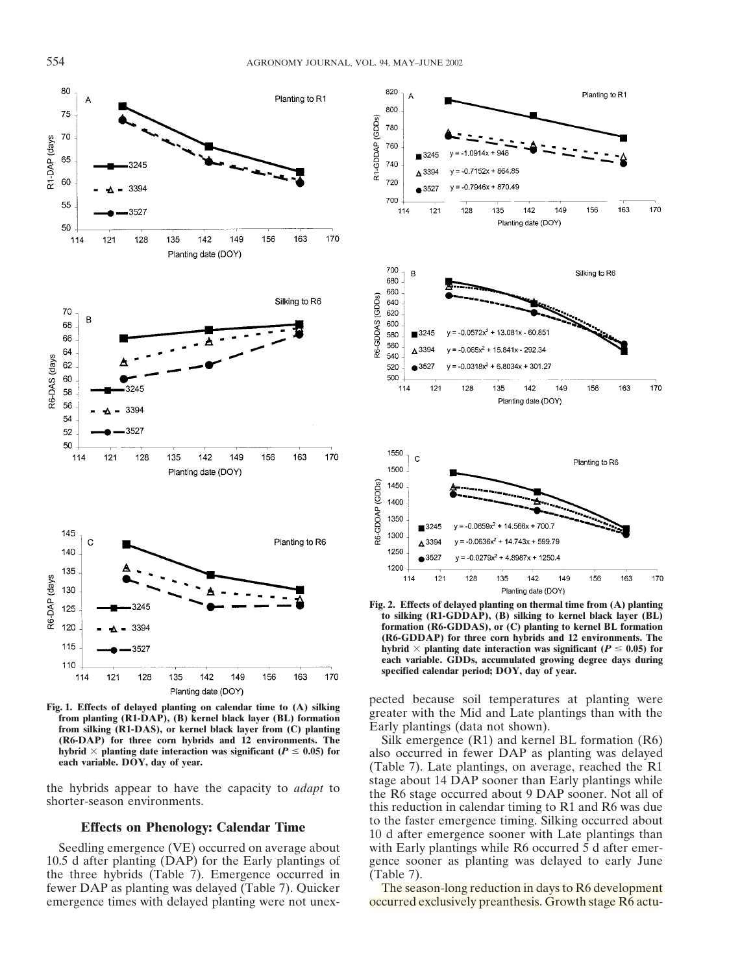

Planting date (DOY)<br>
Fig. 1. Effects of delayed planting on calendar time to (A) silking<br>
from planting (R1-DAP), (B) kernel black layer (BL) formation<br>
from silking (R1-DAS), or kernel black layer from (C) planting<br>
(R6-D **(R6-DAP)** for three corn hybrids and 12 environments. The Silk emergence (R1) and kernel BL formation (R6) hybrid  $\times$  planting date interaction was significant ( $P \le 0.05$ ) for also occurred in fewer DAP as planting was

10.5 d after planting (DAP) for the Early plantings of gence sooner as planting was delayed to early June the three hybrids (Table 7). Emergence occurred in (Table 7). fewer DAP as planting was delayed (Table 7). Quicker The season-long reduction in days to R6 development emergence times with delayed planting were not unex-<br>occurred exclusively preanthesis. Growth stage R6 actu-



**Fig. 2. Effects of delayed planting on thermal time from (A) planting to silking (R1-GDDAP), (B) silking to kernel black layer (BL) formation (R6-GDDAS), or (C) planting to kernel BL formation (R6-GDDAP) for three corn hybrids and 12 environments. The** hybrid  $\times$  planting date interaction was significant ( $P \le 0.05$ ) for **each variable. GDDs, accumulated growing degree days during specified calendar period; DOY, day of year.**

hybrid  $\times$  planting date interaction was significant ( $P \le 0.05$ ) for also occurred in fewer DAP as planting was delayed each variable. DOY, day of year. (Table 7). Late plantings, on average, reached the R1 the hybrids appear to have the capacity to *adapt* to<br>shorter-season environments.<br>the R6 stage occurred about 9 DAP sooner. Not all of<br>this reduction in calendar timing to R1 and R6 was due **Effects on Phenology: Calendar Time** to the faster emergence timing. Silking occurred about 10 d after emergence sooner with Late plantings than Seedling emergence (VE) occurred on average about with Early plantings while R6 occurred 5 d after emer-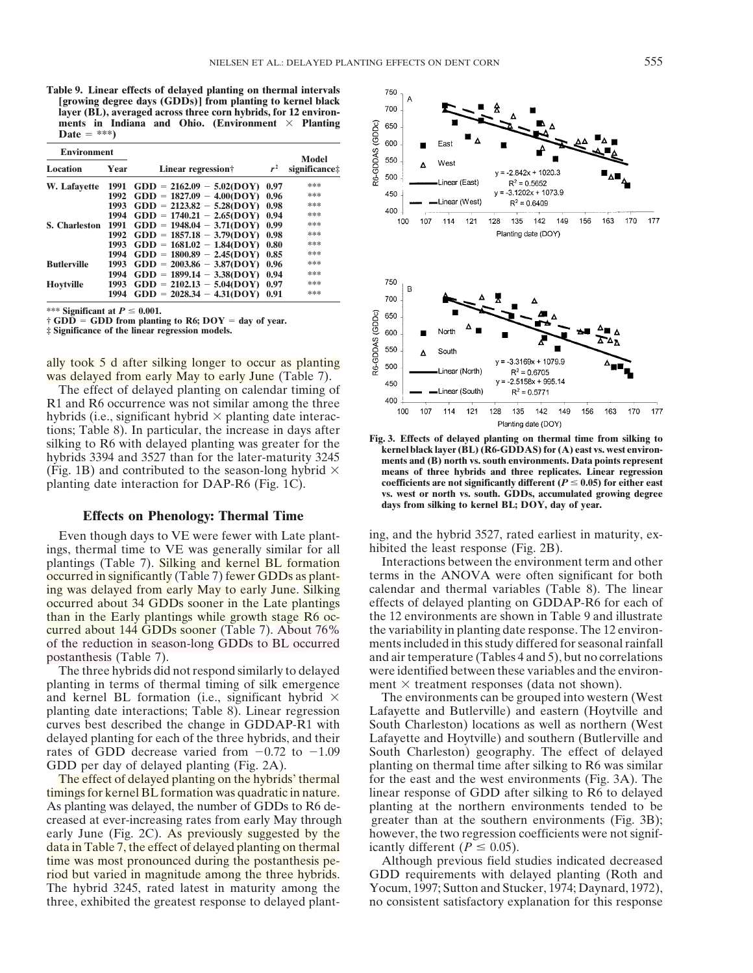**Table 9. Linear effects of delayed planting on thermal intervals [growing degree days (GDDs)] from planting to kernel black layer (BL), averaged across three corn hybrids, for 12 environ**ments in Indiana and Ohio. (Environment  $\times$  Planting  $\textbf{Date} = **\text{*}}$ 

| <b>Environment</b> |      |                             |       |                        |  |
|--------------------|------|-----------------------------|-------|------------------------|--|
| Location           | Year | Linear regression†          | $r^2$ | Model<br>significance: |  |
| W. Lafayette       | 1991 | $GDD = 2162.09 - 5.02(DOY)$ | 0.97  | ***                    |  |
|                    | 1992 | $GDD = 1827.09 - 4.00(DOY)$ | 0.96  | ***                    |  |
|                    | 1993 | $GDD = 2123.82 - 5.28(DOY)$ | 0.98  | ***                    |  |
|                    | 1994 | $GDD = 1740.21 - 2.65(DOY)$ | 0.94  | ***                    |  |
| S. Charleston      | 1991 | $GDD = 1948.04 - 3.71(DOY)$ | 0.99  | ***                    |  |
|                    | 1992 | $GDD = 1857.18 - 3.79(DOY)$ | 0.98  | ***                    |  |
|                    | 1993 | $GDD = 1681.02 - 1.84(DOY)$ | 0.80  | ***                    |  |
|                    | 1994 | $GDD = 1800.89 - 2.45(DOY)$ | 0.85  | ***                    |  |
| <b>Butlerville</b> | 1993 | $GDD = 2003.86 - 3.87(DOY)$ | 0.96  | ***                    |  |
|                    | 1994 | $GDD = 1899.14 - 3.38(DOY)$ | 0.94  | ***                    |  |
| <b>Hovtville</b>   | 1993 | $GDD = 2102.13 - 5.04(DOY)$ | 0.97  | ***                    |  |
|                    | 1994 | $GDD = 2028.34 - 4.31(DOY)$ | 0.91  | ***                    |  |

\*\*\* Significant at  $P \leq 0.001$ .

 $\dagger$  GDD  $=$  GDD from planting to R6; DOY  $=$  day of year.

**‡ Significance of the linear regression models.**

ally took 5 d after silking longer to occur as planting was delayed from early May to early June (Table 7).

The effect of delayed planting on calendar timing of R1 and R6 occurrence was not similar among the three hybrids (i.e., significant hybrid  $\times$  planting date interac-Flanting date increase in days after<br>silking to R6 with delayed planting was greater for the<br>hybrids 3394 and 3527 than for the later-maturity 3245<br>hybrids 3394 and 3527 than for the later-maturity 3245 (Fig. 1B) and contributed to the season-long hybrid  $\times$  **means of three hybrids and three replicates. Linear regression** planting date interaction for DAP-R6 (Fig. 1C). **coefficients are not significantly different (** $P \le 0.05$ **) for either east** 

### **Effects on Phenology: Thermal Time**

ings, thermal time to VE was generally similar for all hibited the least response (Fig. 2B).<br>
plantings (Table 7). Silking and kernel BL formation Interactions between the environment term and other plantings (Table 7). Silking and kernel BL formation

planting in terms of thermal timing of silk emergence ment  $\times$  treatment responses (data not shown). and kernel BL formation (i.e., significant hybrid  $\times$  The environments can be grouped into western (West

timings for kernel BL formation was quadratic in nature. linear response of GDD after silking to R6 to delayed As planting was delayed, the number of GDDs to R6 de- planting at the northern environments tended to be creased at ever-increasing rates from early May through greater than at the southern environments (Fig. 3B); early June (Fig. 2C). As previously suggested by the however, the two regression coefficients were not signifdata in Table 7, the effect of delayed planting on thermal icantly different  $(P \le 0.05)$ . time was most pronounced during the postanthesis pe- Although previous field studies indicated decreased riod but varied in magnitude among the three hybrids. GDD requirements with delayed planting (Roth and The hybrid 3245, rated latest in maturity among the Yocum, 1997; Sutton and Stucker, 1974; Daynard, 1972), three, exhibited the greatest response to delayed plant- no consistent satisfactory explanation for this response



**vs. west or north vs. south. GDDs, accumulated growing degree days from silking to kernel BL; DOY, day of year.**

Even though days to VE were fewer with Late plant- ing, and the hybrid 3527, rated earliest in maturity, ex-

occurred in significantly (Table 7) fewer GDDs as plant-<br>terms in the ANOVA were often significant for both ing was delayed from early May to early June. Silking calendar and thermal variables (Table 8). The linear occurred about 34 GDDs sooner in the Late plantings effects of delayed planting on GDDAP-R6 for each of than in the Early plantings while growth stage R6 oc-<br>the 12 environments are shown in Table 9 and illustrate curred about 144 GDDs sooner (Table 7). About 76% the variability in planting date response. The 12 environof the reduction in season-long GDDs to BL occurred ments included in this study differed for seasonal rainfall postanthesis (Table 7). and air temperature (Tables 4 and 5), but no correlations The three hybrids did not respond similarly to delayed were identified between these variables and the environ-

planting date interactions; Table 8). Linear regression Lafayette and Butlerville) and eastern (Hoytville and curves best described the change in GDDAP-R1 with South Charleston) locations as well as northern (West delayed planting for each of the three hybrids, and their Lafayette and Hoytville) and southern (Butlerville and rates of GDD decrease varied from  $-0.72$  to  $-1.09$  South Charleston) geography. The effect of delayed GDD per day of delayed planting (Fig. 2A). planting on thermal time after silking to R6 was similar The effect of delayed planting on the hybrids' thermal for the east and the west environments (Fig. 3A). The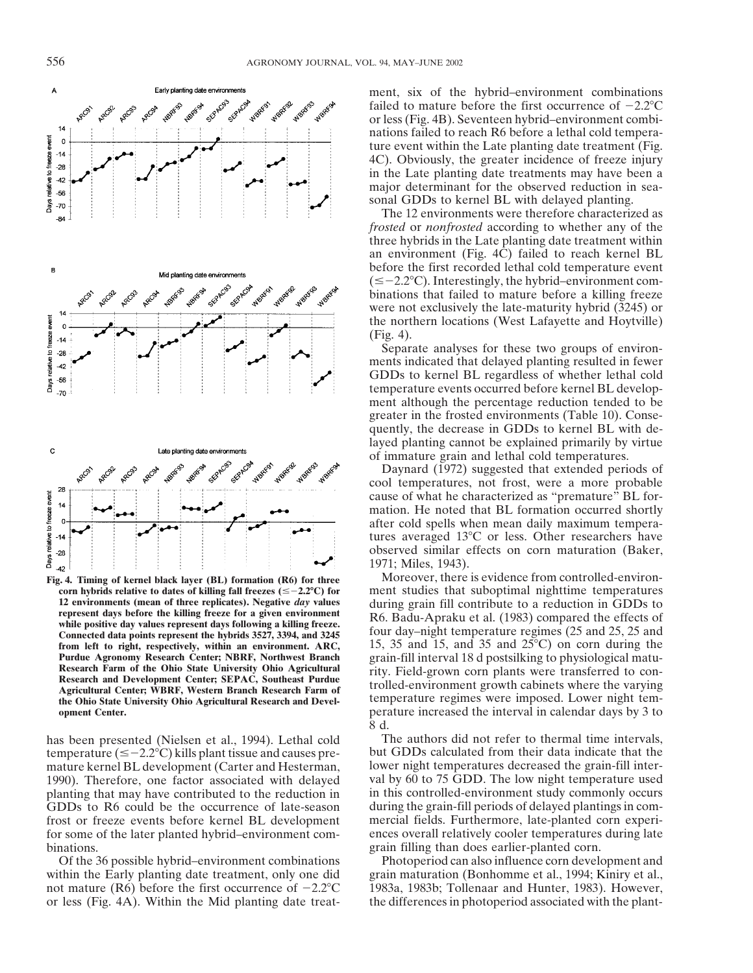

from left to right, respectively, within an environment. ARC,

temperature ( $\leq -2.2$ °C) kills plant tissue and causes premature kernel BL development (Carter and Hesterman, lower night temperatures decreased the grain-fill inter-1990). Therefore, one factor associated with delayed val by 60 to 75 GDD. The low night temperature used planting that may have contributed to the reduction in in this controlled-environment study commonly occurs GDDs to R6 could be the occurrence of late-season during the grain-fill periods of delayed plantings in comfrost or freeze events before kernel BL development mercial fields. Furthermore, late-planted corn experifor some of the later planted hybrid–environment com- ences overall relatively cooler temperatures during late binations. **grain filling than does earlier-planted corn.** 

Of the 36 possible hybrid–environment combinations Photoperiod can also influence corn development and within the Early planting date treatment, only one did grain maturation (Bonhomme et al., 1994; Kiniry et al., not mature (R6) before the first occurrence of  $-2.2^{\circ}\text{C}$  1983a, 1983b; Tollenaar and Hunter, 1983). However, or less (Fig. 4A). Within the Mid planting date treat- the differences in photoperiod associated with the plant-

ment, six of the hybrid–environment combinations failed to mature before the first occurrence of  $-2.2$ °C or less (Fig. 4B). Seventeen hybrid–environment combinations failed to reach R6 before a lethal cold temperature event within the Late planting date treatment (Fig. 4C). Obviously, the greater incidence of freeze injury in the Late planting date treatments may have been a major determinant for the observed reduction in seasonal GDDs to kernel BL with delayed planting.

The 12 environments were therefore characterized as *frosted* or *nonfrosted* according to whether any of the three hybrids in the Late planting date treatment within an environment (Fig. 4C) failed to reach kernel BL before the first recorded lethal cold temperature event  $(\leq -2.2$  °C). Interestingly, the hybrid–environment combinations that failed to mature before a killing freeze were not exclusively the late-maturity hybrid (3245) or the northern locations (West Lafayette and Hoytville) (Fig. 4).

Separate analyses for these two groups of environments indicated that delayed planting resulted in fewer GDDs to kernel BL regardless of whether lethal cold temperature events occurred before kernel BL development although the percentage reduction tended to be greater in the frosted environments (Table 10). Consequently, the decrease in GDDs to kernel BL with delayed planting cannot be explained primarily by virtue of immature grain and lethal cold temperatures.

Daynard (1972) suggested that extended periods of cool temperatures, not frost, were a more probable cause of what he characterized as "premature" BL formation. He noted that BL formation occurred shortly after cold spells when mean daily maximum temperatures averaged  $13^{\circ}$ C or less. Other researchers have observed similar effects on corn maturation (Baker, 1971; Miles, 1943).

**Fig. 4. Timing of kernel black layer (BL) formation (R6) for three** Moreover, there is evidence from controlled-environ-<br>corn hybrids relative to dates of killing fall freezes ( $\leq -2.2$ °C) for ment studies that suboptima **corn hybrids relative to dates of killing fall freezes (** $\leq$  **-2.2°C) for** ment studies that suboptimal nighttime temperatures 12 environments (mean of three replicates). Negative *day* values during grain fill contribut 12 environments (mean of three replicates). Negative *day* values<br>
turing grain fill contribute to a reduction in GDDs to<br>
represent days before the killing freeze for a given environment<br>
while positive day values repres **Purdue Agronomy Research Center; NBRF, Northwest Branch** grain-fill interval 18 d postsilking to physiological matu-Research Farm of the Ohio State University Ohio Agricultural<br>Research and Development Center; SEPAC, Southeast Purdue<br>Agricultural Center; WBRF, Western Branch Research Farm of<br>the Ohio State University Ohio Agricultural R **opment Center. opment Center. operature increased the interval in calendar days by 3 to** 8 d.

has been presented (Nielsen et al., 1994). Lethal cold The authors did not refer to thermal time intervals, temperature  $(\leq -2.2^{\circ}C)$  kills plant tissue and causes pre-<br>but GDDs calculated from their data indicate that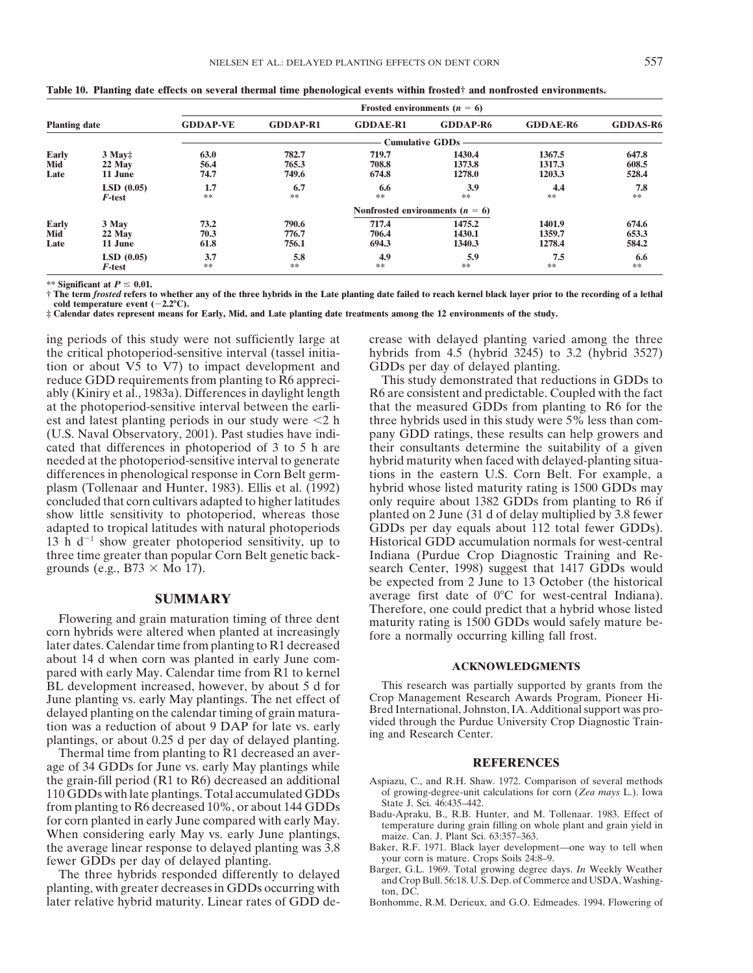|                      |           |                 |                 | Frosted environments $(n = 6)$      |                        |                 |                 |
|----------------------|-----------|-----------------|-----------------|-------------------------------------|------------------------|-----------------|-----------------|
| <b>Planting date</b> |           | <b>GDDAP-VE</b> | <b>GDDAP-R1</b> | <b>GDDAE-R1</b>                     | <b>GDDAP-R6</b>        | <b>GDDAE-R6</b> | <b>GDDAS-R6</b> |
|                      |           |                 |                 |                                     | <b>Cumulative GDDs</b> |                 |                 |
| Early                | $3$ May:  | 63.0            | 782.7           | 719.7                               | 1430.4                 | 1367.5          | 647.8           |
| Mid                  | 22 May    | 56.4            | 765.3           | 708.8                               | 1373.8                 | 1317.3          | 608.5           |
| Late                 | 11 June   | 74.7            | 749.6           | 674.8                               | 1278.0                 | 1203.3          | 528.4           |
|                      | LSD(0.05) | 1.7             | 6.7             | 6.6                                 | 3.9                    | 4.4             | 7.8             |
|                      | F-test    | **              | **              | **                                  | **                     | $**$            | $\ast\ast$      |
|                      |           |                 |                 | Nonfrosted environments ( $n = 6$ ) |                        |                 |                 |
| Early                | 3 May     | 73.2            | 790.6           | 717.4                               | 1475.2                 | 1401.9          | 674.6           |
| Mid                  | 22 May    | 70.3            | 776.7           | 706.4                               | 1430.1                 | 1359.7          | 653.3           |
| Late                 | 11 June   | 61.8            | 756.1           | 694.3                               | 1340.3                 | 1278.4          | 584.2           |
|                      | LSD(0.05) | 3.7             | 5.8             | 4.9                                 | 5.9                    | 7.5             | 6.6             |
|                      | F-test    | **              | **              | **                                  | **                     | **              | **              |

**Table 10. Planting date effects on several thermal time phenological events within frosted† and nonfrosted environments.**

\*\* Significant at  $P \leq 0.01$ .

**† The term** *frosted* **refers to whether any of the three hybrids in the Late planting date failed to reach kernel black layer prior to the recording of a lethal cold temperature event (-2.2°C).** 

**‡ Calendar dates represent means for Early, Mid, and Late planting date treatments among the 12 environments of the study.**

the critical photoperiod-sensitive interval (tassel initia- hybrids from 4.5 (hybrid 3245) to 3.2 (hybrid 3527) tion or about V5 to V7) to impact development and GDDs per day of delayed planting. reduce GDD requirements from planting to R6 appreci- This study demonstrated that reductions in GDDs to ably (Kiniry et al., 1983a). Differences in daylight length R6 are consistent and predictable. Coupled with the fact at the photoperiod-sensitive interval between the earli- that the measured GDDs from planting to R6 for the est and latest planting periods in our study were  $\leq 2$  h three hybrids used in this study were 5% less than com-(U.S. Naval Observatory, 2001). Past studies have indi- pany GDD ratings, these results can help growers and cated that differences in photoperiod of 3 to 5 h are their consultants determine the suitability of a given needed at the photoperiod-sensitive interval to generate hybrid maturity when faced with delayed-planting situadifferences in phenological response in Corn Belt germ- tions in the eastern U.S. Corn Belt. For example, a plasm (Tollenaar and Hunter, 1983). Ellis et al. (1992) hybrid whose listed maturity rating is 1500 GDDs may concluded that corn cultivars adapted to higher latitudes only require about 1382 GDDs from planting to R6 if show little sensitivity to photoperiod, whereas those planted on 2 June (31 d of delay multiplied by 3.8 fewer adapted to tropical latitudes with natural photoperiods GDDs per day equals about 112 total fewer GDDs). 13 h  $d^{-1}$  show greater photoperiod sensitivity, up to Historical GDD accumulation normals for west-central three time greater than popular Corn Belt genetic back- Indiana (Purdue Crop Diagnostic Training and Regrounds (e.g.,  $B73 \times Mo 17$ ). search Center, 1998) suggest that 1417 GDDs would

Flowering and grain maturation timing of three dent<br>corn hybrids were altered when planted at increasingly<br>later dates. Calendar time from planting to R1 decreased<br>later dates. Calendar time from planting to R1 decreased about 14 d when corn was planted in early June com-<br>
pared with early May. Calendar time from R1 to kernel<br> **ACKNOWLEDGMENTS** BL development increased, however, by about 5 d for<br>
This research was partially supported by grants from the<br>
Uune planting vs. early May plantings. The net effect of Crop Management Research Awards Program, Pioneer Hidelayed planting on the calendar timing of grain matura-<br>tion was a reduction of about 9 DAP for late vs. early<br>plantings, or about 0.25 d per day of delayed planting. ing and Research Center.

Thermal time from planting to R1 decreased an aver-<br>age of 34 GDDs for June vs. early May plantings while **REFERENCES** the grain-fill period (R1 to R6) decreased an additional Aspiazu, C., and R.H. Shaw. 1972. Comparison of several methods<br>110 GDDs with late plantings. Total accumulated GDDs of growing-degree-unit calculations for corn (Ze 110 GDDs with late plantings. Total accumulated GDDs of growing-degree-unit from planting to R6 decreased 10%, or about 144 GDDs State J. Sci. 46:435–442. from planting to R6 decreased 10%, or about 144 GDDs<br>for corn planted in early June compared with early May.<br>When considering early May vs. early June plantings,<br>the average linear response to delayed planting was 3.8<br>the the average linear response to delayed planting was 3.8 Baker, R.F. 1971. Black layer development—one fewer GDDs ner day of delayed planting—server—one way our corn is mature. Crops Soils 24:8–9.

later relative hybrid maturity. Linear rates of GDD de- Bonhomme, R.M. Derieux, and G.O. Edmeades. 1994. Flowering of

ing periods of this study were not sufficiently large at crease with delayed planting varied among the three

be expected from 2 June to 13 October (the historical **SUMMARY** average first date of 0°C for west-central Indiana).<br>Therefore, one could predict that a hybrid whose listed

June planting vs. early May plantings. The net effect of Crop Management Research Awards Program, Pioneer Hi-<br>delayed planting on the calendar timing of grain matura. Bred International, Johnston, IA. Additional support wa

- 
- 
- 
- Fewer GDDs per day of delayed planting.<br>The three hybrids responded differently to delayed<br>planting, with greater decreases in GDDs occurring with<br>the corp Bull. 56:18. U.S. Dep. of Commerce and USDA, Washing-<br>planting, wi
	-